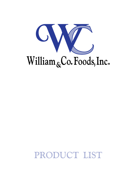

# PRODUCT LIST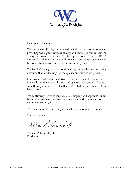

Dear Valued Customer,

William & Co., Foods, Inc. opened in 1998 with a commitment to providing the highest level of quality and service to our customers. Today our state of the art, 11,000 square foot facility is USDA approved and HAACP certified. We welcome both existing and future customers to come in for a tour at any time.

William & Co. has grown and continues to grow by selectively soliciting accounts that are looking for the quality and service we provide.

Our product list is representative of a partial listing of what we carry, especially in the dairy, cheese, and specialty categories. If there's something you'd like to order that isn't listed in our catalog, please let us know.

We continually strive to improve as a company and appreciate input from our customers. Feel free to contact me with any suggestions or comments you might have.

We look forward to serving your needs for many years to come.

Sincerely yours,

William P. Kinnealy, Jr.

William P. Kinnealey, Jr. President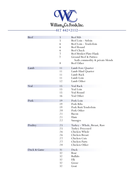

## **617 442•2112**

| Beef        | 5  | <b>Beef Rib</b>                 |
|-------------|----|---------------------------------|
|             | 5  | Beef Loin - Sirloin             |
|             | 6  | Beef Loin - Tenderloin          |
|             | 6  | Beef Round                      |
|             | 6  | <b>Beef Chuck</b>               |
|             | 7  | Beef Brisket/Plate/Flank        |
|             | 7  | Ground Beef & Patties:          |
|             |    | both commodity & private blends |
|             | 8  | Beef Other                      |
| Lamb        | 11 | Lamb Fore Quarter               |
|             | 11 | Lamb Hind Quarter               |
|             | 11 | Lamb Rack                       |
|             | 11 | Lamb Loin                       |
|             | 12 | Lamb Other                      |
| Veal        | 15 | Veal Rack                       |
|             | 15 | Veal Loin                       |
|             | 15 | Veal Round                      |
|             | 16 | Veal Other                      |
| Pork        | 19 | Pork Loin                       |
|             | 19 | Pork Ribs                       |
|             | 19 | Pork Butt/Tenderloin            |
|             | 20 | Pork Other                      |
|             | 21 | Bacon                           |
|             | 21 | Ham                             |
|             | 22 | Sausages                        |
| Poultry     | 25 | Turkey - Whole, Breast, Raw     |
|             | 25 | <b>Turkey Processed</b>         |
|             | 26 | Chicken Whole                   |
|             | 26 | Chicken Breast                  |
|             | 27 | Chicken Cuts                    |
|             | 27 | Chicken Parts                   |
|             | 28 | Chicken Other                   |
| Duck & Game | 31 | Duck                            |
|             | 32 | Boar                            |
|             | 32 | <b>Buffalo</b>                  |
|             | 32 | Elk                             |
|             | 32 | Goose                           |
|             | 32 | Goat                            |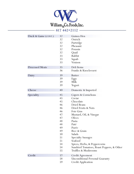

**617 442•2112**

| Duck & Game (CONT.) | 32 | Guinea Hen                                |
|---------------------|----|-------------------------------------------|
|                     | 32 | Ostrich                                   |
|                     | 32 | Partridge                                 |
|                     | 32 | Pheasant                                  |
|                     | 32 | Poussin                                   |
|                     | 32 | Quail                                     |
|                     | 33 | Rabbit                                    |
|                     | 33 | Squab                                     |
|                     | 33 | Venison                                   |
| Processed Meats     | 35 | Deli Items                                |
|                     | 36 | Franks & Knockwurst                       |
| Dairy               | 39 | <b>Butter</b>                             |
|                     | 39 | Eggs                                      |
|                     | 39 | Milk                                      |
|                     | 39 | Yogurt                                    |
| Cheese              | 40 | Domestic & Imported                       |
| Speciality          | 45 | Capers & Cornichons                       |
|                     | 45 | Caviar                                    |
|                     | 45 | Chocolate                                 |
|                     | 46 | Dried Beans                               |
|                     | 46 | Dried Fruits & Nuts                       |
|                     | 46 | Foie Gras                                 |
|                     | 47 | Mustard, Oil, & Vinegar                   |
|                     | 47 | Olives                                    |
|                     | 48 | Pasta                                     |
|                     | 48 | Paté                                      |
|                     | 49 | Purée                                     |
|                     | 49 | Rice & Grain                              |
|                     | 50 | Salads                                    |
|                     | 51 | <b>Specialty Sausages</b>                 |
|                     | 51 | Seafood                                   |
|                     | 54 | Spices, Herbs, & Peppercorns              |
|                     | 54 | Sundried Tomatoes, Roast Peppers, & Other |
|                     | 55 | Truffles & Mushrooms                      |
| Credit              | 57 | Credit Agreement                          |
|                     | 58 | <b>Unconditional Personal Guaranty</b>    |
|                     | 59 | Credit Application                        |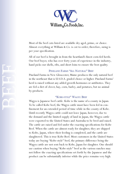

Most of the beef cuts listed are available dry aged, prime, or choice. Almost everything at William & Co. is cut to order; therefore, sizing is per your specification.

All of our beef is brought in from the heartland's finest corn-fed herds. Our beef buyer, who has over forty years of experience in the industry, hand picks our shells, ribs, and short loins to ensure the best quality.

### PINELAND FARMS "ALL NATURAL" BEEF

Pineland Farms in New Gloucester, Maine produces the only natural beef in the northeast that is U.S.D.A. graded choice or higher. Pineland Farms' herd is raised without any added growth hormones or antibiotics. They are fed a diet of clover, hay, corn, barley, and potatoes, but no animal by-products.

### "Kobe-style" Wagyu Beef

Wagyu is Japanese beef cattle. Kobe is the name of a county in Japan. To be called Kobe beef, the Wagyu cattle must have been fed in confinement for an extended period of time while in the county of Kobe. Until recently Wagyu cattle could not leave Japan, however, due to the demand and the limited supply of land in Japan, the Wagyu cattle were exported to the United States and Australia to be bred and raised. The cattle are raised and fed under the exacting specifications for Kobe Beef. When the cattle are almost ready for slaughter, they are shipped to Kobe, Japan, where their feeding is completed, and the cattle are slaughtered. This is true Kobe Beef. Most customers in the United States today are buying "Kobe-style" beef, the primary difference being the Wagyu cattle are not sent back to Kobe, Japan for slaughter. One should use caution when buying "Kobe-style" beef as the various ranches may not follow the exacting specifications set forth by the Japanese and the product can be substantially inferior while the price remains very high.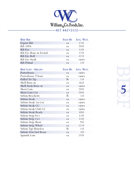

| <b>BEEF RIB</b>            | <b>SOLD BY</b>   | AVG. WGT. |
|----------------------------|------------------|-----------|
| <b>Export Rib</b>          | ea               | 17.0      |
| <b>Rib 109A</b>            | ea               | 20.0      |
| Rib Eye                    | ea               | 13.0      |
| Rib Eye Bone-in French     | ea               | 17.0      |
| Rib Eye Roll               | ea               | 12.0      |
| Rib Eye Steak              | ea               | varies    |
| Rib Primal                 | ea               | 1.0       |
|                            |                  |           |
| <b>BEEF LOIN - SIRLOIN</b> | <b>SOLD BY</b>   | AVG. WGT. |
| Porterhouse                | ea               | varies    |
| Porterhouse T-bone         | ea               | varies    |
| Pulled Tri Tip             | $\mathbf{lb}$    | 1.0       |
| Shell Bone-in              | ea               | 16.0      |
| Shell Steak Rone-in        | $_{\mathsf{P2}}$ | varies    |

**Beef 5**

| Porterhouse                  | ea            | varies |
|------------------------------|---------------|--------|
| Porterhouse T-bone           | ea            | varies |
| Pulled Tri Tip               | $\mathbf{lb}$ | 1.0    |
| Shell Bone-in                | ea            | 16.0   |
| Shell Steak Bone-in          | ea            | varies |
| Short Loin                   | ea            | 20.0   |
| <b>Short Loin Cut</b>        | ea            | 20.0   |
| Sirloin Brochette            | $\mathbf{lb}$ | 1.0    |
| Sirloin Steak                | ea            | varies |
| Sirloin Steak 1st Cut        | ea            | varies |
| Sirloin Steak CC             | ea            | varies |
| Sirloin Steak Club CC        | ea            | varies |
| Sirloin Steak Ready          | ea            | 10.0   |
| Sirloin Strip 0x1            | ea            | 13.0   |
| Sirloin Strip 1 x 1          | ea            | 13.0   |
| Sirloin Strip Short          | ea            | 9.0    |
| Sirloin Strip Whole          | ea            | 12.0   |
| <b>Sirloin Tips Boneless</b> | $\mathbf{lb}$ | 1.0    |
| Sirloin Vein End Roast       | ea            | 3.0    |
| Spanish Loin                 | ea            | 29.0   |
|                              |               |        |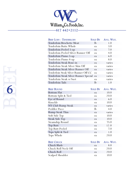

| <b>BEEF LOIN - TENDERLOIN</b>          | <b>SOLD BY</b> | AVG. WGT. |
|----------------------------------------|----------------|-----------|
| Tenderloin Brochette Meat              | $\mathbf{lb}$  | 1.0       |
| Tenderloin Butts Whole                 | ea.            | 3.0       |
| Tenderloin Peeled 5-up                 | ea             | 7.0       |
| Tenderloin Peeled Silver Runner Off    | ea             | 4.0       |
| Tenderloin Pismo 5-up                  | ea             | 6.0       |
| Tenderloin Pismo 8-up                  | ea.            | 8.0       |
| Tenderloin Steak Bone-in               | ea             | varies    |
| Tenderloin Steak Silver Skin Off       | ea.            | varies    |
| Tenderloin Steak Silver Runner Off     | ea.            | varies    |
| Tenderloin Steak Silver Runner Off CC  | ea             | varies    |
| Tenderloin Steak Silver Runner Special | ea             | varies    |
| Tenderloin Steak w/Suet                | ea.            | varies    |
| Tenderloin Tails                       | lЬ             | 1.0       |

| <b>BEEF ROUND</b>   |             | SOLD BY AVG. WGT. |
|---------------------|-------------|-------------------|
| <b>Bottom Flat</b>  | ea          | 10.0              |
| Bottom Split & Tied | ea          | 20.0              |
| Eye of Round        | ea          | 6.0               |
| Knuckle             | ea          | 10.0              |
| NY Club Rump Steak  | ea          | varies            |
| Peddler Piece       | $_{\rm lb}$ | 4.0               |
| Rump Steak Thin     | ea          | varies            |
| Soft Side Top       | ea          | 10.0              |
| Steak Side Top      | ea          | 10.0              |
| Steamship Round     | ea          | 75.0              |
| <b>Top Butt</b>     | ea          | 12.0              |
| Top Butt Peeled     | ea          | 7.0               |
| Tops Split & Tied   | ea          | 1.0               |
| Tops Whole          | ea          | 20.0              |
|                     |             |                   |
| <b>BEEF CHUCK</b>   | SOLD BY     | Avg. WGT.         |
| Chuck Blade         | ea          | 8.0               |
| Chuck Roll Neck Off | ea          | 20.0              |
| Chuck Roll          | ea          | 20.0              |
| Scalped Shoulder    | ea          | 10.0              |

**Edition 6**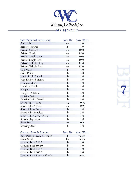

| <b>BEEF BRISKET/PLATE/FLANK</b>  | <b>SOLD BY</b> | AVG. WGT. |
|----------------------------------|----------------|-----------|
| <b>Back Ribs</b>                 | ea             | 1.0       |
| Brisket 1st Cut                  | $\mathbf{lb}$  | 1.0       |
| <b>Brisket Cooked</b>            | ea             | 10.0      |
| <b>Brisket Fresh</b>             | ea             | 15.0      |
| <b>Brisket Single Grey</b>       | ea             | 10.0      |
| Brisket Single Red               | ea             | 10.0      |
| <b>Brisket Whole Grey</b>        | ea             | 15.0      |
| Brisket Whole Red                | ea             | 15.0      |
| Cap Meat                         | $\mathbf{lb}$  | 1.0       |
| Corn Points                      | $\mathbf{lb}$  | 1.0       |
| Flank Steak Peeled               | $\mathbf{lb}$  | 1.0       |
| Flap Defatted Hearts             | lb             | 1.0       |
| Flunken Meat                     | $\mathbf{lb}$  | 1.0       |
| Hand Of Flank                    | $\mathbf{lb}$  | 1.0       |
| Hanger                           | $\mathbf{lb}$  | 1.0       |
| Hanger Defatted                  | lb             | 1.0       |
| Outside Skirt                    | $\mathbf{lb}$  | 1.0       |
| Outside Skirt Peeled             | $_{\rm lb}$    | 1.0       |
| <b>Short Ribs 1 Bone</b>         | ea             | 0.75      |
| <b>Short Ribs 2 Bone</b>         | ea             | 0.95      |
| <b>Short Ribs 4 Bone</b>         | $\mathbf{lb}$  | 1.0       |
| <b>Short Ribs Boneless</b>       | $\mathbf{lb}$  | 1.0       |
| Short Ribs Corner Piece          | $\mathbf{lb}$  | 1.0       |
| Sirloin Flap Meat                | $_{\rm lb}$    | 1.0       |
| Skirt Steak                      | ea             | 0.9       |
| <b>Stewing Beef</b>              | $\mathbf{lb}$  | 1.0       |
|                                  |                |           |
| <b>GROUND BEEF &amp; PATTIES</b> | <b>SOLD BY</b> | Avg. WGT. |
| Beef Patties Fresh & Frozen      | lb             | varies    |
| Cube Steak                       | bx             | varies    |
| Ground Beef 75/15                | lb             | 1.0       |
| Ground Beef 80/20                | $\mathbf{lb}$  | 1.0       |
| Ground Beef 85/15                | $\mathbf{lb}$  | 1.0       |
| Ground Beef 90/10                | $\mathbf{lb}$  | 1.0       |

Ground Beef 90/10 lb 1.0<br>Ground Beef Private Blends lb varies

Ground Beef Private Blends

Beef R **7**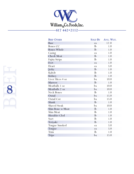

| <b>BEEF OTHER</b>   | <b>SOLD BY</b> | Avg. WGT. |
|---------------------|----------------|-----------|
| Base                | ea             | 12.0      |
| Bones CC            | lb             | 1.0       |
| <b>Bones Whole</b>  | lb             | 1.0       |
| Casing              | ea             | 1.0       |
| Cheek Meat          | lb             | 1.0       |
| Fajita Strips       | lb             | 1.0       |
| Feet                | ea             | 1.0       |
| Heart               | ea             | 5.0       |
| Jerky               | lb             | 1.0       |
| Kabob               | lb             | 1.0       |
| Kidney              | lb             | 1.0       |
| Liver Slices 4 oz   | bx             | 10.0      |
| Marrow              | lb             | 1.0       |
| Meatballs 1 oz      | bx             | 10.0      |
| Meatballs 2 oz      | bx             | 10.0      |
| <b>Neck Bones</b>   | $\mathbf{lb}$  | 1.0       |
| Oxtail              | bx             | 15.0      |
| Oxtail Cut          | bx             | 15.0      |
| Shank               | lb             | 1.0       |
| <b>Shaved Steak</b> | bx             | 10.0      |
| Shin Bone w/Meat    | lb             | 1.0       |
| Shin Meat           | lb             | 1.0       |
| Shoulder Clod       | lb             | 1.0       |
| Suet                | lb             | 1.0       |
| Teriyaki            | lb             | 1.0       |
| Tongue Smoked       | ea             | 5.0       |
| Tongue              | ea             | 5.0       |
| Trim                | lb             | 1.0       |
| Tripe               | bx             | 15.0      |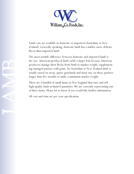

Lamb cuts are available in domestic or imported (Australian or New Zealand). Generally speaking, domestic lamb has a milder, more delicate flavor than imported lamb.

The most notable difference between domestic and imported lamb is the size. American-produced lamb yields a larger loin because American producers manage their flocks from birth to market weight, supplementing managed pasture with grain. An Australian or New Zealand lamb is usually raised on steep, sparse grasslands and must stay on those pastures longer than five months to make a minimum market weight.

There are a handful of small farms in New England that raise and sell high-quality lamb in limited quantities. We are currently representing one of these farms. Please let us know if you would like further information.

All cuts and trim are per your specification.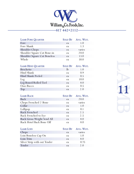

| <b>LAMB FORE QUARTER</b>                                      |                               | SOLD BY AVG. WGT.                                     |
|---------------------------------------------------------------|-------------------------------|-------------------------------------------------------|
| Fore                                                          | ea                            | 1.0                                                   |
| Fore Shank                                                    | ea                            | 1.3                                                   |
| Shoulder Chops                                                | ea                            | varies                                                |
| Shoulder Square Cut Bone-in                                   | ea                            | 20.0                                                  |
| Shoulder Square Cut Boneless                                  | ea                            | 13.0                                                  |
| Whole                                                         | ea                            | 50.0                                                  |
| <b>LAMB HIND QUARTER</b>                                      | SOLD BY                       | AVG. WGT.                                             |
| <b>Brochette</b>                                              | lb                            | 1.0                                                   |
| Hind Shank                                                    | ea                            | 0.9                                                   |
| Hind Shank Peeled                                             | ea                            | 0.5                                                   |
| Leg                                                           | ea                            | 10.0                                                  |
| Leg Boned/Rolled/Tied                                         | ea                            | 8.0                                                   |
| Osso Bucco                                                    | ea                            | 0.5                                                   |
| Top                                                           | ea                            | 2.0                                                   |
|                                                               |                               |                                                       |
| <b>LAMB RACK</b>                                              | <b>SOLD BY</b>                | Avg. WGT.                                             |
| Back                                                          | ea                            | 20.0                                                  |
| Chops Frenched 2 Bone                                         | ea                            | varies                                                |
| Collar                                                        | ea                            | 1.0                                                   |
| Lollipop                                                      | ea                            | 0.1                                                   |
| Rack Frenched                                                 | ea                            | 2.5                                                   |
| Rack Frenched to Eye                                          | ea                            | 2.5                                                   |
| Rack Gross Weight Send All                                    | ea                            | 8.0                                                   |
| Rack Hotel Back Bone Off                                      | ea                            | 8.0                                                   |
| $\mathbf{I}$ is $\mathbf{m}$ $\mathbf{I}$ $\alpha \mathbf{m}$ | $C_{\alpha x}$ $D_{\alpha y}$ | $\lambda$ $\lambda$ $\sim$ $\lambda$ $\lambda$ $\sim$ |

| <b>LAMB LOIN</b>             |     | SOLD BY AVG. WGT. |
|------------------------------|-----|-------------------|
| Chops                        | ea  | varies            |
| Loin Boneless Cap On         | ea. | 1.0               |
| Loin Trim                    | ea  | 8.0               |
| Silver Strip with out Tender | ea  | 0.75              |
| Tender                       | ea  | 20                |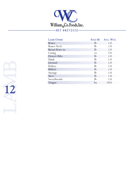

| <b>LAMB OTHER</b>     |             | SOLD BY AVG. WGT. |
|-----------------------|-------------|-------------------|
| <b>Bones</b>          | $_{\rm lb}$ | 1.0               |
| <b>Bones Neck</b>     | $_{\rm lb}$ | 1.0               |
| <b>Breast Bone-in</b> | $_{\rm lb}$ | 1.0               |
| Casing                | ea          | 3.0               |
| Denver Ribs           | $_{\rm lb}$ | 1.0               |
| Flank                 | $_{\rm lb}$ | 1.0               |
| Ground                | $_{\rm lb}$ | 1.0               |
| Kidney                | $_{\rm lb}$ | 1.0               |
| Riblets               | $_{\rm lb}$ | 1.0               |
| Sausage               | $_{\rm lb}$ | 1.0               |
| Stew                  | $_{\rm lb}$ | 1.0               |
| Sweetbreads           | $_{\rm lb}$ | 1.0               |
| Tongue                | bx          | 10.0              |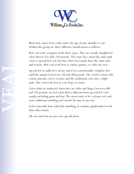

Meat that comes from cattle under the age of nine months is veal. Within this group are three different classifications as follows:

Bob veal is the youngest of the three types. They are usually slaughtered when they're less than 150 pounds. They may have much the same pink color as special-fed veal, but they don't necessarily have the same taste and texture. Bob veal work best as cutlets, patties, or cubes for stew.

Special-fed or milk-fed veal are raised on a nutritionally complete diet until the animal is between 350 and 400 pounds. The result is meat with a firm, smooth, velvety texture and the traditional veal color: a light pink. This veal work best as veal chops or roasts.

Calves that are marketed when they are older and larger, between 400 and 750 pounds, are fed a diet that is different from special-fed veal usually including grain and hay. The meat tends to be a deeper red, and some additional marbling and outside fat may be present.

Veal is naturally lean with little marbling; it contains significantly less fat than other meats.

All cuts and trim are per your specification.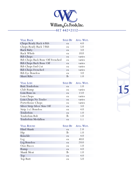

| <b>VEAL RACK</b>                 | <b>SOLD BY</b> | AVG. WGT. |
|----------------------------------|----------------|-----------|
| Chops Ready Rack 6/Rib           | ea             | 4.0       |
| Chops Ready Rack 7/Rib           | ea.            | 5.0       |
| Rack Baby                        | ea             | 3.0       |
| Rack Whole                       | ea             | 10.0      |
| Rib Chops                        | ea             | varies    |
| Rib Chops Back Bone Off Frenched | ea             | varies    |
| Rib Chops Back Bone Off          | ea             | varies    |
| Rib Chops End Cut                | ea             | varies    |
| Rib Chops Frenched               | ea             | varies    |
| Rib Eye Boneless                 | ea             | 3.0       |
| <b>Short Ribs</b>                | IЬ             | 1(        |

| <b>VEAL LOIN</b>             |             | SOLD BY AVG. WGT. |
|------------------------------|-------------|-------------------|
| <b>Butt Tenderloin</b>       | ea          | 1.0               |
| Club Rump                    | ea          | varies            |
| Loin Bone-in                 | ea          | 13.0              |
| Loin Chops                   | ea          | varies            |
| Loin Chops No Tender         | ea          | varies            |
| Porterhouse Chops            | ea          | varies            |
| Silver Strip Silver Skin Off | ea          | 3.0               |
| Strip 1 x 1 Boneless         | ea          | 4.0               |
| Tenderloin                   | ea          | 1.0               |
| Tenderloin Bob               | $_{\rm lb}$ | 1.0               |
| Tenderloin Medallion         | ea          | 1.1               |

| <b>VEAL ROUND</b> |             | SOLD BY AVG. WGT. |
|-------------------|-------------|-------------------|
| Hind Shank        | ea          | 2.0               |
| Hip               | $_{\rm lb}$ | 1.0               |
| Knuckle           | ea          | 4.0               |
| Leg               | ea          | 40.0              |
| Leg Boneless      | ea          | 20.0              |
| Osso Bucco        | ea          | 1.0               |
| Rump              | ea          | 4.0               |
| <b>Shank Meat</b> | $_{\rm lb}$ | 1.0               |
| Top               | ea          | 4.0               |
| Top Butt          | ea          | 5.0               |

VEAL **15**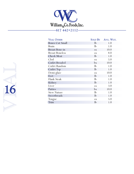

| <b>VEAL OTHER</b>      | <b>SOLD BY</b> | AVG. WGT. |
|------------------------|----------------|-----------|
| <b>Bones Cut Small</b> | $\mathbf{lb}$  | 1.0       |
| <b>Brain</b>           | lb             | 1.0       |
| Breast Bone-in         | ea             | 10.0      |
| <b>Breast Boneless</b> | ea             | 8.0       |
| Cheek Meat             | $\mathbf{lb}$  | 1.0       |
| Clod                   | ea             | 5.0       |
| <b>Cutlet Breaded</b>  | bx             | 10.0      |
| Cutlet Random          | $\mathbf{lb}$  | 1.0       |
| <b>Cutlet Top</b>      | $\mathbf{lb}$  | 1.0       |
| Demi-glaze             | ea             | 10.0      |
| Feet                   | $\mathbf{lb}$  | 1.0       |
| Flank Steak            | $_{\rm lb}$    | 1.0       |
| Kidney                 | $\mathbf{lb}$  | 1.0       |
| Liver                  | ea             | 3.0       |
| Patties                | bx             | 10.0      |
| <b>Stew Nature</b>     | $_{\rm lb}$    | 1.0       |
| Sweetbreads            | lb             | 1.0       |
| Tongue                 | ea             | 5.0       |
| Trim                   | $_{\rm lb}$    | 1.0       |

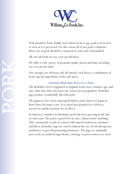

Pork should be fresh. Unlike beef which needs to age, pork is at its best as soon as it is processed. For this reason all of our pork is domestic. Most cuts of pork should be consistent in color and well-marbled.

All cuts and trim are per your specification.

We offer a wide variety of premium quality bacon and ham, including our own private label.

Our sausages are delicious and all-natural, each flavor a combination of fresh, upscale ingredients, herbs and spices.

### Certified Berkshire Kuro buta Pork

The Berkshire breed originated in England nearly four centuries ago, and since that time there has been one reason for its popularity: Berkshire pigs produce wonderfully flavorful pork.

The Japanese have been enjoying Berkshire pork, known in Japan as Kuro buta, for many years. It is raised and prepared as a delicacy, savored in smaller portions for its flavor.

In America, a market for Berkshire pork has been growing in the last several years. The pork is prized for its rare, characteristic marbling. This consistently results in a meat with superb tenderness, moisture, and flavor. Berkshire pigs are raised without the use of sub-therapeutic antibiotics or growth-promoting hormones. The pigs are minimally processed; no artificial ingredients, coloring, or preservatives are used.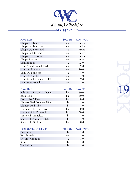

| <b>PORK LOIN</b>          | <b>SOLD BY</b> | AVG. WGT. |
|---------------------------|----------------|-----------|
| Chops CC Bone-in          | ea             | varies    |
| Chops CC Boneless         | ea.            | varies    |
| Chops CC Frenched         | ea.            | varies    |
| Chops End-to-end          | ea.            | varies    |
| Chops Porterhouse         | ea             | varies    |
| Chops Smoked              | ea.            | varies    |
| Loin Bone-in              | ea             | 12.0      |
| Loin Boned/Rolled/Tied    | ea.            | 9.0       |
| Loin CC Bone-in           | ea             | 10.0      |
| Loin CC Boneless          | ea             | 8.0       |
| Loin CC Smoked            | ea             | 5.0       |
| Loin Rack Frenched 10 Rib | ea             | 7.0       |
| Loin Rack 10 Rib          | ea             | 8.0       |

| <b>PORK RIBS</b>                 | <b>SOLD BY</b> | AVG. WGT. |
|----------------------------------|----------------|-----------|
| Baby Back Ribs 1.75 Down         | bx             | 30.0      |
| <b>Back Ribs</b>                 | bx             | 30.0      |
| Back Ribs 2 Down                 | bx             | 30.0      |
| <b>Chinese Red Boneless Ribs</b> | $\mathbf{h}$   | 1.0       |
| <b>Chinese Red Ribs</b>          | $\mathbf{h}$   | 1.0       |
| Hatfield Ribs 1.5 Down           | bx             | 30.0      |
| Hatfield Ribs Pre-cooked         | bx             | 20.0      |
| Spare Ribs Boneless              | $\mathbf{h}$   | 1.0       |
| Spare Ribs Country Style         | $\mathbf{h}$   | 1.0       |
| Spare Ribs St. Louis             | bx             | 30.0      |

| PORK BUTT/TENDERLOIN |     | SOLD BY AVG. WGT. |
|----------------------|-----|-------------------|
| Brochette            | -lb | 1(0)              |
| <b>Butt Boneless</b> | ea. | 5.0               |
| Shoulder Bone-in     | ea  | 5.0               |
| <b>Stew</b>          | -lb | 1 <sub>0</sub>    |
| Tenderloin           | Тh  | 10                |

PORT OF **19**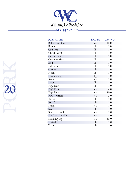

| <b>PORK OTHER</b>   | <b>SOLD BY</b> | Avg. WGT. |
|---------------------|----------------|-----------|
| Belly Rind On       | ea             | 10.0      |
| <b>Bones</b>        | lb             | 1.0       |
| Caul Fat            | lb             | 1.0       |
| <b>Cheek Meat</b>   | lb             | 1.0       |
| <b>Curing Salt</b>  | $\mathbf{lb}$  | 1.0       |
| <b>Cushion Meat</b> | lb             | 1.0       |
| End                 | lb             | 1.0       |
| Fat Back            | lb             | 1.0       |
| Ground              | lb             | 1.0       |
| Hock                | lb             | 1.0       |
| Hog Casing          | bg             | 1.0       |
| Knuckle             | ea             | 1.0       |
| Liver               | lb             | 1.0       |
| Pig's Ears          | lb             | 1.0       |
| Pig's Feet          | ea             | 2.0       |
| Pig's Head          | ea             | 10.0      |
| Pig's Trotters      | ea             | 2.0       |
| <b>Riblets</b>      | lb             | 1.0       |
| Salt Pork           | lb             | 1.0       |
| Shank               | ea             | 1.0       |
| Skin                | lb             | 1.0       |
| Smoked Hocks        | ea             | 1.0       |
| Smoked Shoulder     | ea             | 5.0       |
| Suckling Pig        | ea             | 35.0      |
| Teriyaki            | $\mathbf{lb}$  | 1.0       |
| Trim                | $_{\rm lb}$    | 1.0       |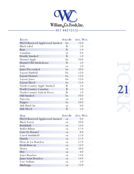

| <b>BACON</b>                  |               | SOLD BY AVG. WGT. |
|-------------------------------|---------------|-------------------|
| WCO Reserved Applewood Smoked | bx            | 15.0              |
| <b>Black Label</b>            | $\mathbf{lb}$ | 1.0               |
| Boar                          | lb            | 1.0               |
| Canadian                      | ea            | 4.0               |
| Double Smoked                 | $\mathbf{lb}$ | 1.0               |
| Hormel Apple                  | bx            | 20.0              |
| Hormel Old Smokehouse         | $\mathbf{lb}$ | 1.0               |
| Irish                         | ea            | 1.0               |
| Jones Pre-cooked              | bx            | 10.0              |
| Layout Hatfield               | bx            | 15.0              |
| Layout Hormel                 | bx            | 15.0              |
| Layout Jones                  | bx            | 15.0              |
| Layout Sliced                 | bx            | 15.0              |
| North Country Apple Smoked    | $\mathbf{lb}$ | 1.0               |
| North Country Canadian        | $\mathbf{lb}$ | 1.0               |
| North Country Ends & Pieces   | $\mathbf{lb}$ | 1.0               |
| Old Smoked                    | bx            | 20.0              |
| Pancetta                      | ea            | 4.0               |
| Pepper                        | bx            | 20.0              |
| Slab Rind On                  | ea            | 9.0               |
| Slab Sliced                   | $_{\rm lb}$   | 1.0               |

| <b>HAM</b>                    | <b>SOLD BY</b> | AVG. WGT. |
|-------------------------------|----------------|-----------|
| WCO Reserved Applewood Smoked | ea             | 9.0       |
| <b>Black Forest</b>           | ea             | 10.0      |
| Buddaball                     | ea.            | 15.0      |
| <b>Buffet Bilmar</b>          | ea.            | 12.0      |
| Cure 81 Hormel                | ea             | 8.0       |
| Cured Smithfield              | ea             | 11.0      |
| Danish                        | ea             | 12.0      |
| Fleur de Lis Boneless         | ea             | 12.0      |
| Fresh Bone-in                 | ea             | 15.0      |
| Honey                         | ea             | 10.0      |
| Hot                           | ea             | 4.0       |
| Jones Boneless                | ea             | 13.0      |
| Jones Semi Boneless           | ea             | 14.0      |
| Low Sodium                    | ea             | 1.0       |
| Madrange                      | ea             | 15.0      |

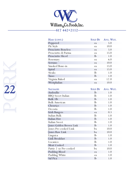

| HAM (CONT.)                | <b>SOLD BY</b> | Avg. WGT. |
|----------------------------|----------------|-----------|
| Peppered                   | ea             | 5.0       |
| Pit Style                  | ea             | 10.0      |
| <b>Prosciutto Boneless</b> | ea             | 5.0       |
| Prosciutto di Parma        | ea             | 15.0      |
| Prosciutto Sliced          | $_{\rm lb}$    | 1.0       |
| Rosemary                   | ea             | 6.0       |
| Serrano                    | ea.            | 10.0      |
| Smoked Bone-in             | ea             | 15.0      |
| Spiral                     | ea             | 15.0      |
| <b>Steaks</b>              | lb             | 1.0       |
| <b>Tasso</b>               | $\mathbf{lb}$  | 1.0       |
| Virginia Baked             | ea             | 12.0      |
| Westphalian                | ea             | 10.0      |

| <b>SAUSAGES</b>          | <b>SOLD BY</b> | Avg. WGT. |
|--------------------------|----------------|-----------|
| Andoullie                | $_{\rm lb}$    | 1.0       |
| <b>BBQ</b> Sweet Italian | $_{\rm lb}$    | 1.0       |
| Bulk 1lb                 | lb             | 1.0       |
| <b>Bulk American</b>     | lb             | 1.0       |
| Chouriço                 | $\mathbf{lb}$  | 1.0       |
| Decosta                  | lb             | 1.0       |
| Irish Bangers            | ea             | 0.3       |
| Italian Bulk             | lb             | 1.0       |
| Italian Hot              | $\mathbf{lb}$  | 1.0       |
| Italian Sweet            | lb             | 1.0       |
| Jones Golden Brown Link  | $\mathbf{lb}$  | 1.0       |
| Jones Pre-cooked Link    | bx             | 10.0      |
| Jones Raw Link           | bx             | 10.0      |
| Linguica                 | $\mathbf{lb}$  | 1.0       |
| Link Breakfast           | $\mathbf{lb}$  | 1.0       |
| Locanico                 | $_{\rm lb}$    | 1.0       |
| Meat Cooked              | $\mathbf{lb}$  | 1.0       |
| Pattie 2 oz Pre-cooked   | bx             | 10.0      |
| Pudding Blood            | ea             | 1.0       |
| Pudding White            | ea             | 1.0       |
| Sal Pica                 | $_{\rm lb}$    | 1.0       |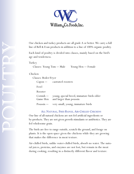

### Chicken

| Our chicken and turkey products are all grade A or better. We carry a full<br>line of Bell & Evan products in addition to a line of 100% organic poultry. |
|-----------------------------------------------------------------------------------------------------------------------------------------------------------|
| Each kind of poultry is divided into classes, mainly based on the bird's<br>age and tenderness.                                                           |
| Turkey<br>Classes: Young Tom — Male<br>Young Hen — Female                                                                                                 |
| Chicken                                                                                                                                                   |
| Classes: Boiler/Fryer                                                                                                                                     |
| castrated roosters<br>$Capon$ —                                                                                                                           |
| Fowl                                                                                                                                                      |
| Rooster                                                                                                                                                   |
| $Cornish -$<br>young, special breed, immature birds older<br>and larger than poussin<br>Game Hen                                                          |
| Poussin $-$<br>very small, young, immature birds                                                                                                          |
| ALL NATURAL, FREE-RANGE, AIR-CHILLED CHICKENS                                                                                                             |
| Our line of all-natural chickens are not fed artificial ingredients or                                                                                    |
| by-products. They are not given growth stimulants or antibiotics. They are                                                                                |
| fed wholesome grain.                                                                                                                                      |
| The birds are free to range outside, scratch the ground, and forage on                                                                                    |
|                                                                                                                                                           |

### All Natural, Free-Range, Air-Chilled Chickens

The birds are free to range outside, scratch the ground, and forage on plants. It is the open space given the chickens while they are growing that makes the difference in meat texture.

Air-chilled birds, unlike water-chilled birds, absorb no water. The natural juices, proteins, and enzymes are not lost, but remain in the meat during cooking, resulting in a distinctly different flavor and texture.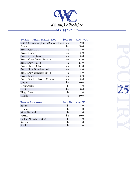

| TURKEY - WHOLE, BREAST, RAW          | <b>SOLD BY</b> | Avg. WGT. |
|--------------------------------------|----------------|-----------|
| WCO Reserved Applewood Smoked Breast | ea             | 9.0       |
| <b>Bones</b>                         | bx             | 30.0      |
| Breast Casa Mia                      | ea             | 8.0       |
| <b>Breast Honey</b>                  | ea             | 8.0       |
| <b>Breast Oven Roast</b>             | ea             | 8.0       |
| <b>Breast Oven Roast Bone-in</b>     | ea             | 13.0      |
| Breast Raw 12/14                     | ea             | 13.0      |
| Breast Raw 14/16                     | ea             | 15.0      |
| <b>Breast Raw Boneless Foil</b>      | ea             | 8.0       |
| <b>Breast Raw Boneless Fresh</b>     | ea             | 8.0       |
| <b>Breast Smoked</b>                 | ea             | 8.0       |
| <b>Breast Smoked North Country</b>   | ea             | 8.0       |
| Cutlet                               | bx             | 10.0      |
| Drumsticks                           | $\mathbf{lb}$  | 1.0       |
| <b>Necks</b>                         | bx             | 30.0      |
| Thigh Meat                           | $\mathbf{lb}$  | 1.0       |
| Whole                                | ea             | 20.0      |
|                                      |                |           |
| <b>TURKEY PROCESSED</b>              | <b>SOLD BY</b> | AVG. WGT. |
| Bacon                                | lb             | 1.0       |
| Franks                               | $_{\rm lb}$    | 1.0       |
| Meat Ground                          | $\mathbf{lb}$  | 1.0       |
| Patties                              | bx             | 10.0      |
| Pulled All White Meat                | lb             | 1.0       |
| Sausage                              | lb             | 1.0       |
| Steak                                | $_{\rm lb}$    | 1.0       |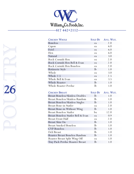

| <b>CHICKEN WHOLE</b>         |               | SOLD BY AVG. WGT. |
|------------------------------|---------------|-------------------|
| Boneless                     | ea            | 2.0               |
| Capon                        | ea            | 6.0               |
| Fowl                         | ea            | 6.0               |
| Hen                          | ea            | 6.0               |
| Natural                      | ea            | 3.0               |
| Rock Cornish Hen             | ea            | 2.0               |
| Rock Cornish Hen Bell & Evan | ea            | 2.0               |
| Rock Cornish Hen Boneless    | ea            | 2.0               |
| Rotisserie Style             | $\mathbf{h}$  | 1.0               |
| Whole                        | ea            | 3.0               |
| Whole 2.5                    | ea            | 2.5               |
| Whole Bell & Evan            | ea            | 3.5               |
| Whole Roaster                | $\mathbf{lb}$ | 1.0               |
| Whole Roaster Perdue         | lb            | 1.0               |

| <b>CHICKEN BREAST</b>                   | <b>SOLD BY</b> | AVG. WGT. |
|-----------------------------------------|----------------|-----------|
| <b>Breast Boneless/Skinless Doubles</b> | lb             | 1.0       |
| Breast Boneless/Skinless Random         | lb             | 1.0       |
| Breast Boneless/Skinless Singles        | lb.            | 1.0       |
| <b>Breast Bone-in Statler</b>           | ea             | 2.0       |
| Breast Bone-in Without Wing             | lb.            | 1.0       |
| <b>Breast Boneless Statler</b>          | bx             | 12.0      |
| Breast Boneless Statler Bell & Evan     | ea             | 0.9       |
| <b>Breast Front Half</b>                | ea             | 2.0       |
| Breast Skin On                          | $\mathbf{h}$   | 1.0       |
| <b>Breast Smoked Boneless</b>           | lb             | 1.0       |
| <b>CVP</b> Boneless                     | $\mathbf{lb}$  | 1.0       |
| Deli Breast                             | lb             | 1.0       |
| Roaster Breast Boneless Random          | $_{\rm lb}$    | 1.0       |
| Roaster Breast Split Wing Off           | ea             | 1.0       |
| Tray Pack Perdue Roaster Breast         | $\mathbf{h}$   | 1.0       |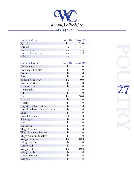

| <b>CHICKEN CUTS</b>           | <b>SOLD BY</b> | Avg. WGT. |
|-------------------------------|----------------|-----------|
| IQF $\frac{1}{4}$             | bx             | 31.0      |
| Cut Up                        | ea             | 3.5       |
| Cut $Up$ 2.5                  | ea             | 2.5       |
| Cut Up Bell & Evan            | ea             | 3.5       |
| Split                         | ea             | 3.5       |
|                               |                |           |
| <b>CHICKEN PARTS</b>          | <b>SOLD BY</b> | AVG. WGT. |
| Chicken 60/40                 | lb             | 1.0       |
| Chicken All White             | lb             | 1.0       |
| <b>Backs</b>                  | lb             | 1.0       |
| Base                          | lb             | 1.0       |
| Bones Bell & Evan             | bx             | 40.0      |
| <b>Brochette Meat</b>         | lb             | 1.0       |
| Drummettes                    | lb             | 1.0       |
| Drumsticks                    | ea             | 1.0       |
| Fat                           | lb             | 1.0       |
| Feet                          | bx             | 50.0      |
| Gizzards                      | lb             | 1.0       |
| Hearts                        | lb             | 1.0       |
| Legs & Thighs Unsized         | lb             | 1.0       |
| Legs Boneless/Skinless Random | lb             | 1.0       |
| Liver                         | lb             | 1.0       |
| Liver Chopped                 | tub            | 5.0       |
| <b>Rib Cages</b>              | $\mathbf{lb}$  | 1.0       |
| Skin                          | $\mathbf{lb}$  | 1.0       |
| Tenderloin                    | lb             | 1.0       |
| Thigh Bone-in                 | lb             | 1.0       |
| Thigh Boneless Skinless       | $_{\rm lb}$    | 1.0       |
| Thigh Skin on Boneless        | $_{\rm lb}$    | 1.0       |
| <b>Wings Barbecue</b>         | bx             | 10.0      |
| Wings Disjointed              | lb             | 1.0       |
| Wings Full                    | $\mathbf{lb}$  | 1.0       |
| Wings Hot                     | bx             | 10.0      |
| Wings Jumbo                   | $\mathbf{lb}$  | 1.0       |
| Wings Roaster                 | lb             | 1.0       |
| Wings V                       | lb             | 1.0       |

poulation of the control **27**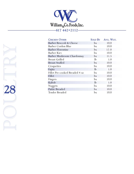

| <b>CHICKEN OTHER</b>           | <b>SOLD BY</b> | AVG. WGT. |
|--------------------------------|----------------|-----------|
| Barber Broccoli & Cheese       | bx             | 10.0      |
| Barber Cordon Blue             | bx             | 10.0      |
| <b>Barber Florentine</b>       | bx             | 12.0      |
| Barber Kiev                    | bx             | 10.0      |
| Barber Mushroom Chardonnay     | bx             | 11.5      |
| <b>Breast Grilled</b>          | $\mathbf{lb}$  | 1.0       |
| <b>Breast Stuffed</b>          | bx             | 10.0      |
| Croquettes                     | bx             | 10.0      |
| Fajita                         | $\mathbf{lb}$  | 1.0       |
| Fillet Pre-cooked Breaded 4 oz | bx             | 10.0      |
| Fillet                         | bx             | 10.0      |
| Fingers                        | bx             | 10.0      |
| Kabob                          | $\mathbf{lb}$  | 1.0       |
| Nuggets                        | bx             | 10.0      |
| Pattie Breaded                 | bx             | 10.0      |
| Tender Breaded                 | bx             | 10.0      |
|                                |                |           |

poultry May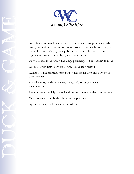

quality lines of duck and various game. We are continually searching for the best in each category to supply our customers. If you have heard of a supplier you would like to try, please let us know.

Duck is a dark meat bird. It has a high percentage of bone and fat to meat.

Goose is a very fatty, dark meat bird. It is usually roasted.

Guinea is a domesticated game bird. It has tender light and dark meat with little fat.

Partridge meat tends to be coarse-textured. Moist cooking is recommended.

Pheasant meat is mildly flavored and the hen is more tender than the cock.

Quail are small, lean birds related to the pheasant.

Squab has dark, tender meat with little fat.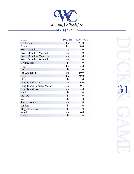

| <b>DUCK</b>                    | <b>SOLD BY</b> | AVG. WGT. |
|--------------------------------|----------------|-----------|
| $\frac{1}{2}$ Cooked           | bx             | 23.0      |
| Bones                          | bx             | 30.0      |
| <b>Breast Boneless</b>         | ea             | 2.0       |
| <b>Breast Boneless Mollard</b> | ea             | 4.0       |
| <b>Breast Boneless Muscovy</b> | ea             | 4.0       |
| <b>Breast Boneless Smoked</b>  | ea             | 2.0       |
| Drummetts                      | $\mathbf{lb}$  | 1.0       |
| Eggs                           | bx             | 12.0      |
| Fat                            | $\mathbf{lb}$  | 1.0       |
| <b>Fat Rendered</b>            | tub            | 10.0      |
| Legs                           | bx             | 20.0      |
| Liver                          | $\mathbf{lb}$  | 1.0       |
| Long Island 5-up               | ea             | 6.0       |
| Long Island Boneless Statler   | ea             | 0.5       |
| Long Island Breast             | ea             | 2.0       |
| <b>Necks</b>                   | $\mathbf{lb}$  | 1.0       |
| Sausage                        | $\mathbf{lb}$  | 1.0       |
| Skin                           | $\mathbf{lb}$  | 1.0       |
| <b>Statler Boneless</b>        | ea             | 1.0       |
| Tenders                        | $\mathbf{lb}$  | 1.0       |
| Thigh Boneless                 | $\mathbf{lb}$  | 1.0       |
| Whole                          | ea             | 6.0       |
| Wings                          | $\mathbf{lb}$  | 1.0       |

duck and GAME. **31**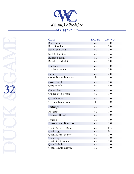

| <b>GAME</b>                  | <b>SOLD BY</b> | Avg. WGT. |
|------------------------------|----------------|-----------|
| <b>Boar Rack</b>             | ea             | 4.0       |
| Boar Shoulder                | ea             | 5.0       |
| Boar Strip Loin              | ea             | 1.0       |
| Buffalo Rib Eye              | ea             | 1.0       |
| <b>Buffalo Sirloin</b>       | ea             | 1.0       |
| Buffalo Tenderloin           | ea             | 5.0       |
| Elk Loin                     | ea             | 1.0       |
| Elk Loin Boneless            | ea             | 1.0       |
| Geese                        | ea             | 12.0      |
| <b>Goose Breast Boneless</b> | lb             | 1.0       |
| Goat Cut Up                  | ea             | 1.0       |
| Goat Whole                   | ea             | 5.0       |
| Guinea Hen                   | ea             | 1.0       |
| Guinea Hen Breast            | ea             | 1.0       |
| Ostrich Fillet               | ea             | 1.0       |
| Ostrich Tenderloin           | lb             | 1.0       |
| Partridge                    | ea             | 2.0       |
| Pheasant                     | ea             | 1.0       |
| Pheasant Breast              | ea             | 1.0       |
| Poussin                      | ea             | 1.0       |
| Poussin Semi Boneless        | ea             | 1.0       |
| Quail Butterfly Breast       | ea             | 0.5       |
| Quail Eggs                   | ea             | 0.1       |
| Quail European Style         | ea             | 1.0       |
| Quail Leg                    | ea             | 1.0       |
| Quail Semi Boneless          | ea             | 1.0       |
| Quail Whole                  | ea             | 1.0       |
| Quail Whole Drawn            | ea             | 1.0       |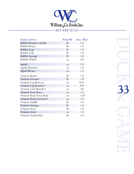

| GAME (CONT.)           | <b>SOLD BY</b> | AVG. WGT. |
|------------------------|----------------|-----------|
| Rabbit Boneless Saddle | $\mathbf{lb}$  | 1.0       |
| <b>Rabbit Bones</b>    | $\mathbf{lb}$  | 1.0       |
| Rabbit Legs            | $\mathbf{lb}$  | 1.0       |
| Rabbit Loin            | $\mathbf{lb}$  | 1.0       |
| Rabbit Sausage         | $\mathbf{lb}$  | 1.0       |
| Rabbit Whole           | ea             | 3.0       |
| Squab                  | ea             | 2.0       |
| Squab Boneless         | ea             | 1.0       |
| Squab Breast           | ea             | 1.0       |
| Venison Bones          | lb             | 1.0       |
| Venison Ground         | $\mathbf{lb}$  | 1.0       |
| Venison Leg Bone-in    | ea             | 10.0      |
| Venison Leg Boneless   | ea             | 8.0       |
| Venison Loin Boneless  | ea             | 3.0       |
| Venison Osso Buco      | ea             | 1.0       |
| Venison Rack Four Bone | ea             | 1.05      |
| Venison Rack Frenched  | ea             | 3.0       |
| Venison Saddle         | $\mathbf{lb}$  | 1.0       |
| Venison Sausage        | $\mathbf{lb}$  | 1.0       |
| Venison Stew           | lb             | 1.0       |
| Venison Stick          | ea             | 1.0       |
| Venison Tenderloin     | lb             | 1.0       |

duck & 33 GAME. **33**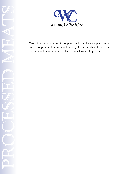

our entire product line, we insist on only the best quality. If there is a special brand name you need, please contact your salesperson.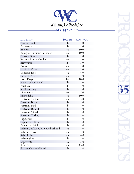

| <b>DELI ITEMS</b>              | <b>SOLD BY</b> | Avg. WGT. |
|--------------------------------|----------------|-----------|
| <b>Bauernwurst</b>             | lb             | 1.0       |
| Bockwurst                      | lb             | 1.0       |
| Bologna                        | ea             | 10.0      |
| Bologna Dubuque (all meat)     | ea             | 10.0      |
| Bologna Sliced                 | lb             | 1.0       |
| <b>Bottom Round Cooked</b>     | ea             | 3.0       |
| <b>Bratwurst</b>               | lb             | 5.0       |
| <b>Bresoli</b>                 | ea             | 5.0       |
| Capicola Cured                 | ea             | 3.0       |
| Capicola Hot                   | ea             | 4.0       |
| Capicola Sweet                 | ea             | 3.0       |
| Corn Dogs                      | bx             | 10.0      |
| Ham Cooked/Sliced              | lb             | 1.0       |
| Kielbasa                       | lb             | 1.0       |
| Kielbasa Ring                  | lb             | 1.0       |
| Liverwurst                     | ea             | 5.0       |
| Mortadella                     | ea             | 10.0      |
| Pastrami 1st Cut               | ea             | 3.0       |
| Pastrami Black                 | lb             | 1.0       |
| Pastrami Red                   | lb             | 1.0       |
| Pastrami Round                 | lb             | 1.0       |
| Pastrami Sliced                | lb             | 1.0       |
| Pastrami Turkey                | lb             | 1.0       |
| Pepperoni                      | lb             | 1.0       |
| Pepperoni Sliced               | lb             | 1.0       |
| Pepperoni Stick                | $\mathbf{lb}$  | 1.0       |
| Salami Cooked Old Neighborhood | ea             | 1.0       |
| Salami Genoa                   | ea             | 4.0       |
| Salami Hard                    | ea             | 4.0       |
| Salami Sliced                  | lb             | 1.0       |
| Sopressata                     | ea             | 5.0       |
| <b>Top Cooked</b>              | ea             | 13.0      |
| Turkey Cooked/Sliced           | lb             | 1.0       |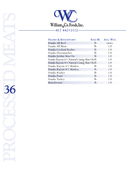

| <b>FRANKS &amp; KNOCKWURST</b>             | <b>SOLD BY</b> | AVG. WGT.  |
|--------------------------------------------|----------------|------------|
| Franks All Beef                            | <b>lb</b>      | varies     |
| Franks All Meat                            | $\mathbf{h}$   | 1.0        |
| Franks Cocktail Kosher                     | lb             | 1.0        |
| Franks Ductsmacher                         | $\mathbf{h}$   | 1.0        |
| Franks Jordan Skin On                      | lb             | 1.0        |
| Franks Kayem 6/1 Natural Casing Skin On lb |                | 1.0        |
| Franks Kayem 8/1 Natural Casing Skin On lb |                | 1.0        |
| Franks Kayem 4/1 Skinless                  | lb             | 1.0        |
| Franks Kayem 8/1 Skinless                  | $\mathbf{lb}$  | 1.0        |
| Franks Kosher                              | $\mathbf{lb}$  | 1.0        |
| Franks Pearl                               | -lb            | 1.0        |
| Franks Turkey                              | $\mathbf{lb}$  | 1.0        |
| Knockwurst                                 | lb             | $1_{.}$ () |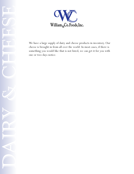

cheese is brought in from all over the world. In most cases, if there is something you would like that is not listed, we can get it for you with one or two days notice.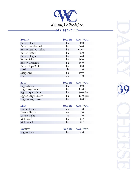

| <b>BUTTER</b>             | <b>SOLD BY</b> | AVG. WGT. |
|---------------------------|----------------|-----------|
| <b>Butter Blend</b>       | bx             | 30.0      |
| <b>Butter Continental</b> | bx             | 36.0      |
| Butter Land-O-Lakes       | bx             | varies    |
| <b>Butter Patties</b>     | bx             | 36.0      |
| <b>Butter Plugra</b>      | bx             | 36.0      |
| <b>Butter Salted</b>      | bx             | 36.0      |
| <b>Butter Unsalted</b>    | bx             | 36.0      |
| Butterchips 90 Cut        | bx             | 30.0      |
| Lard                      | $\mathbf{lb}$  | 1.0       |
| Margarine                 | bx             | 30.0      |
| Oleo                      | ea             | 5.0       |

| <b>EGGS</b>        |    | SOLD BY AVG. WGT.   |
|--------------------|----|---------------------|
| Egg Whites         | bx | 30.0                |
| Eggs Large White   | bx | $15.0$ doz          |
| Eggs Large White   | bx | $30.0$ doz          |
| Eggs X-large Brown | bx | 15.0 <sub>log</sub> |
| Eggs X-large Brown | bx | $30.0$ doz          |

| <b>MILK</b>   |    | SOLD BY AVG. WGT. |
|---------------|----|-------------------|
| Crème Fraiche | ea | 5.0               |
| Cream Heavy   | ea | 5.0               |
| Cream Light   | ea | 5.0               |
| Milk Skim     | bx | 8.2               |
| Milk Whole    | bx | 8.2               |
|               |    |                   |
| YOGURT        |    | SOLD BY AVG. WGT. |
| Yogurt Plain  | bx | 12.0              |

|  |  | ٧ |  |  |
|--|--|---|--|--|
|  |  |   |  |  |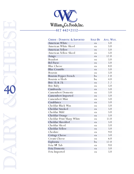

| CHEESE - DOMESTIC & IMPORTED | <b>SOLD BY</b> | Avg. WGT. |
|------------------------------|----------------|-----------|
| American White               | ea             | 5.0       |
| American White Sliced        | ea             | 5.0       |
| American Yellow              | ea             | 5.0       |
| American Yellow Sliced       | ea             | 5.0       |
| Asiago                       | ea             | 12.0      |
| Beaufort                     | ea             | 5.0       |
| <b>Bel Paese</b>             | ea             | 5.0       |
| <b>Blue Cheese</b>           | ea             | 8.0       |
| <b>Blue Crumble</b>          | ea             | 5.0       |
| Boursin                      | ea             | 5.0       |
| <b>Boursin Pepper French</b> | bx             | 2.0       |
| Boursin w/Herb               | bx             | 4.0       |
| Brie 1k & 2k                 | ea             | 2.2       |
| Brie Baby                    | ea             | 5.0       |
| Cambozola                    | ea             | 5.0       |
| <b>Camembert Domestic</b>    | ea             | 5.0       |
| Camembert Imported           | ea             | 5.0       |
| Camembert Mini               | ea             | 5.0       |
| Casablanca                   | ea             | 5.0       |
| Cheddar Black Wax            | ea             | 5.0       |
| Cheddar Smoked               | ea             | 5.0       |
| Cheddar Mild                 | ea             | 5.0       |
| Cheddar Orange               | ea             | 5.0       |
| Cheddar Print Sharp White    | ea             | 11.0      |
| Cheddar Shredded             | ea             | 5.0       |
| Cheddar Sliced               | ea             | 5.0       |
| Cheddar Yellow               | ea             | 5.0       |
| Cheshire                     | ea             | 9.0       |
| <b>Cottage Cheese</b>        | ea             | 5.0       |
| Cream Cheese                 | ea             | 6.0       |
| Esplorata                    | bx             | 12.0      |
| Feta 9# Tub                  | ea             | 9.0       |
| Feta Domestic                | ea             | 5.0       |
| Feta Imported                | ea             | 5.0       |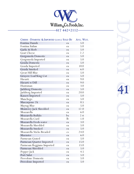

| CHEESE - DOMESTIC & IMPORTED (CONT.) SOLD BY |             | Avg. WGT. |
|----------------------------------------------|-------------|-----------|
| Fontina Danish                               | ea          | 5.0       |
| Fontina Italian                              | ea          | 5.0       |
| Garlic & Herb                                | ea          | 5.0       |
| <b>Goat Cheese</b>                           | ea          | 2.2       |
| Gorgonzola Domestic                          | ea          | 5.0       |
| Gorgonzola Imported                          | ea          | 5.0       |
| Gouda Domestic                               | ea          | 5.0       |
| Gouda Imported                               | ea          | 10.0      |
| Gouda Smoked                                 | ea          | 6.0       |
| <b>Great Hill Blue</b>                       | ea          | 5.0       |
| Gruyere Loaf/King Cut                        | ea          | 5.0       |
| Havarti                                      | ea          | 9.0       |
| Havarti w/Dill                               | ea          | 9.0       |
| Huntsman                                     | ea          | 3.0       |
| Jarlsberg Domestic                           | ea          | 5.0       |
| Jarlsberg Imported                           | ea          | 20.0      |
| Kasseri Imported                             | ea          | 5.0       |
| Manchego                                     | ea          | 5.0       |
| Mascarpone 2k                                | ea          | 0.5       |
| Maytag Blue                                  | ea          | 5.0       |
| Monterey Jack Shredded                       | ea          | 12.0      |
| Mozzarella                                   | ea          | 6.0       |
| Mozzarella Buffalo                           | bx          | 2.6       |
| Mozzarella Curd                              | $_{\rm lb}$ | 1.0       |
| Mozzarella Fresh-water                       | ea          | 3.0       |
| Mozzarella Shredded                          | ea          | 5.0       |
| Mozzarella Smoked                            | ea          | 5.0       |
| Mozzarella Sticks Breaded                    | <b>CS</b>   | 24.0      |
| Muenster                                     | ea          | 6.0       |
| Parmesan Grated                              | ea          | 5.0       |
| Parmesan Quarter Imported                    | ea          | 15.0      |
| Parmesan Reggiano Imported                   | ea          | 15.0      |
| Parmesan Shredded                            | ea          | 5.0       |
| Pepper Jack                                  | ea          | 4.5       |
| Port Salut                                   | ea          | 5.0       |
| <b>Provolone Domestic</b>                    | ea          | 5.0       |
| Provolone Imported                           | ea          | 5.0       |

# RACHESE AR **41**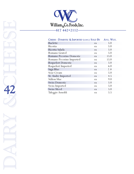

| CHEESE - DOMESTIC & IMPORTED (CONT.) SOLD BY |    | Avg. WGT. |
|----------------------------------------------|----|-----------|
| Raclette                                     | ea | 5.0       |
| Ricotta                                      | ea | 5.0       |
| Ricotta Salada                               | ea | 5.0       |
| Romano Grated                                | ea | 5.0       |
| Romano Pecorino Domestic                     | ea | 15.0      |
| Romano Pecorino Imported                     | ea | 15.0      |
| <b>Roquefort Domestic</b>                    | ea | 5.0       |
| Roquefort Imported                           | ea | 6.0       |
| Saga Blue                                    | ea | 2.8       |
| Sour Cream                                   | ea | 5.0       |
| St. Andre Imported                           | ea | 4.5       |
| Stilton blue                                 | ea | 9.0       |
| <b>Swiss Domestic</b>                        | ea | 5.0       |
| Swiss Imported                               | ea | 5.0       |
| <b>Swiss Sliced</b>                          | ea | 5.0       |
| Taleggio Arnoldi                             | ea | 5.5       |

DANY & CHEESE Stilton<br>
Swiss Swiss Swiss<br>
Talegg<br>
Talegg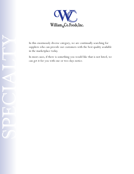

suppliers who can provide our customers with the best quality available in the marketplace today.

In most cases, if there is something you would like that is not listed, we can get it for you with one or two days notice.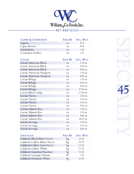

| <b>CAPERS &amp; CORNICHONS</b>       |                | SOLD BY AVG. WGT. |
|--------------------------------------|----------------|-------------------|
| Capers                               | ea             | 0.5               |
| <b>Caper Berries</b>                 | ea             | 8.0               |
| Cornichons                           | ea             | 1.0               |
| <b>Cornichon Pickles</b>             | ea             | 1.0               |
| <b>CAVIAR</b>                        | <b>SOLD BY</b> | Avg. WGT.         |
| Caviar American Black                | ea             | $2.0 \text{ oz}$  |
| Caviar American Black                | ea             | $4.0 \text{ oz}$  |
| Caviar American Black                | ea             | $8.0 \text{ oz}$  |
| Caviar American Sturgeon             | ea             | $1.0 \text{ oz}$  |
| Caviar American Sturgeon             | ea             | $8.0 \text{ oz}$  |
| Caviar Beluga                        | ea             | $1.0 \text{ oz}$  |
| Caviar Beluga                        | ea             | $4.4 \text{ oz}$  |
| Caviar Beluga                        | ea             | $8.8 \text{ oz}$  |
| Caviar Beluga                        | ea             | $17.6 \text{ oz}$ |
| Caviar Black Lump                    | ea             | $12.0 \text{ oz}$ |
| Caviar Osetra                        | ea             | $1.0 \text{ oz}$  |
| Caviar Osetra                        | ea             | $2.0 \text{ oz}$  |
| Caviar Osetra                        | ea             | $4.4 \text{ oz}$  |
| Caviar Osetra                        | ea             | 8.8 oz            |
| Caviar Salmon Roe                    | ea             | $1.0 \text{ oz}$  |
| Caviar Salmon Roe                    | ea             | $2.0 \text{ oz}$  |
| Caviar Salmon Roe                    | ea             | $8.0 \text{ oz}$  |
| Caviar Salmon Roe                    | ea             | $16.0 \text{ oz}$ |
| Caviar Sevruga                       | ea             | $1.0 \text{ oz}$  |
| Caviar Sevruga                       | ea             | $4.4 \text{ oz}$  |
| Caviar Sevruga                       | ea             | 8.8 oz            |
|                                      |                |                   |
| <b>CHOCOLATE</b>                     | <b>SOLD BY</b> | Avg. Wgt.         |
| <b>Calabout Block Bitter Sweet</b>   | bg             | 11.0              |
| <b>Calabout Callete Bitter Sweet</b> | bg             | 22.0              |
| Calabout Callete Semi Sweet          | bg             | 22.0              |
| Calabout Callete White               | bg             | 22.0              |
| Calabout Gianduia Hazelnut           | bg             | 11.0              |
| Calabout Guanaja Velrona             | $_{\rm lb}$    | 1.0               |
| Calabout Premium White               | bg             | 11.0              |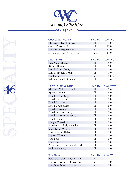

| CHOCOLATE (CONT.)              | <b>SOLD BY</b> | Avg. WGT.        |
|--------------------------------|----------------|------------------|
| Chocolate Truffle Classic      | lb             | 1.0              |
| Cocoa Powder Dazaan            | lb             | 11.0             |
| Schokinag Bittersweet          | ea             | 11.0             |
| Schokinag Semi Sweet Chip      | ea             | 11.0             |
| <b>DRIED BEANS</b>             | <b>SOLD BY</b> | Avg. WGT.        |
| Fava Giant Beans               | lb             | 5.0              |
| Kidney Beans                   | lb             | 5.0              |
| Lentils Black Beluga           | lb             | 1.0              |
| Lentils French Green           | $\mathbf{lb}$  | 1.0              |
| Vanilla Beans                  | ea             | $1.0 \text{ oz}$ |
| White Cannellini Beans         | lb             | 1.0              |
|                                |                |                  |
| <b>DRIED FRUITS &amp; NUTS</b> | <b>SOLD BY</b> | AVG. WGT.        |
| Almonds Whole Blanched         | lb             | 5.0              |
| <b>Apricots Fancy</b>          | lb             | 5.0              |
| Dried Apple Rings              | lb             | 5.0              |
| <b>Dried Blueberries</b>       | $\mathbf{lb}$  | 5.0              |
| <b>Dried Cherries</b>          | lb             | 5.0              |
| <b>Dried Cranberries</b>       | lb             | 5.0              |
| Dried Currants                 | lb             | 5.0              |
| Dried Peaches Fancy            | lb             | 5.0              |
| Dried Pears Extra Fancy        | lb             | 5.0              |
| <b>Dried Prunes</b>            | $_{\rm lb}$    | 5.0              |
| <b>Ginger Crystallized</b>     | lb             | 5.0              |
| Hazelnuts Whole Blanched       | $_{\rm lb}$    | 5.0              |
| Macadamia Whole                | lb             | 5.0              |
| Pecans Large Halves            | $_{\rm lb}$    | 5.0              |
| Pignoli Whole                  | lb             | 5.0              |
| Pine Nuts                      | lb             | 5.0              |
| Pistachios                     | lb             | 1.0              |
| Pistachio Halves Raw Shelled   | lb             | 5.0              |
| <b>Walnuts Halves</b>          | lb             | 5.0              |
|                                |                |                  |

| <b>FOIE GRAS</b>           |     | SOLD BY AVG. WGT. |
|----------------------------|-----|-------------------|
| Foie Gras Grade A Canadian | ea. | 1.5               |
| Foie Gras Grade B Canadian | ea. | 1 <sub>0</sub>    |
| Foie Gras Grade C Canadian | ea. | $1 \Omega$        |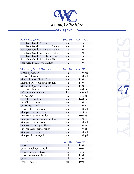

| FOIE GRAS (CONT.)               | <b>SOLD BY</b> | Avg. WGT.         |
|---------------------------------|----------------|-------------------|
| Foie Gras Grade A French        | ea             | 1.5               |
| Foie Gras Grade A Hudson Valley | ea             | 1.5               |
| Foie Gras Grade B Hudson Valley | ea             | 1.0               |
| Foie Gras Grade C Hudson Valley | ea             | 1.0               |
| Foie Gras Grade A La Belle Farm | ea             | 1.5               |
| Foie Gras Grade B La Belle Farm | ea             | 1.0               |
| Foie Gras Mousse w/Truffles     | ea             | 1.0               |
|                                 |                |                   |
| MUSTARD, OIL, & VINEGAR         | <b>SOLD BY</b> | AVG. WGT.         |
| <b>Dressing Caesar</b>          | ea             | $1.0$ gal         |
| <b>Dressing Greek</b>           | ea             | $1.0$ gal         |
| Mustard Dijon Grain/French      | ea             | 11.0              |
| Mustard Dijon Smooth/French     | ea             | 11.0              |
| Mustard Dijon Smooth/Vilux      | ea             | 11.0              |
| Oil Black Truffle               | ea             | $8.0 \text{ oz}$  |
| Oil Canolive Olivera            | bx             | $6.0$ gal         |
| Oil Sesame                      | ea             | 3.5 lit           |
| Oil Vilux Hazelnut              | ea             | $16.0 \text{ oz}$ |
| Oil Vilux Walnut                | ea             | $8.0 \text{ oz}$  |
| Oil White Truffle               | ea             | $8.0 \text{ oz}$  |
| Olive Oil Extra Virgin          | ea             | $1.0$ gal         |
| Vinegar Balsamic 12 Year        | ea             | $8.5 \text{ oz}$  |
| Vinegar Balsamic Modena         | ea             | 10.0 lit          |
| Vinegar Balsamic Villa Mandori  | ea             | $8.0 \text{ oz}$  |
| Vinegar Balsamic White          | ea             | $1.0$ gal         |
| Vinegar Champagne/French        | ea             | 5.0 lit           |
| Vinegar Raspberry/French        | ea             | 5.0 lit           |
| Vinegar Rice Wine               | ea             | $1.0$ gal         |
| Vinegar Sherry Aged             | ea             | 1.0 gal           |
| <b>OLIVES</b>                   | <b>SOLD BY</b> | Avg. WGT.         |
| Olives                          | tub            | 15.0              |
| Olives Black Cured Oil          | tub            | 10.0              |
| Olives Cerignola Green          | can            | 2.3               |
| Olives Kalamata Pitted          | tub            | 11.0              |
| Olives Mix                      | tub            | 11.0              |
| <b>Olives Nicoise</b>           | tub            | 10.0              |

See 1990 **47**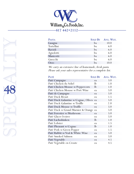

**Pas t a Sold B y Avg. Wgt .** Lasagna bx 10.0 Tortellini bx 6.0 Ravioli bx 6.0 Agnolotti bx 6.0 Manicotti bx 6.0 Gnocchi bx 6.0 Orzo bx 10.0

We carry an extensive line of homemade, fresh pasta. Please ask your sales representative for a complete list.

| PATÉ                                 | <b>SOLD BY</b> | Avg. WGT. |
|--------------------------------------|----------------|-----------|
| Paté Campagne                        | ea             | 3.0       |
| Paté Chicken du Soliel               | lb             | 1.0       |
| Paté Chicken Mousse w/Peppercorn     | $\mathbf{lb}$  | 1.0       |
| Paté Chicken Mousse w/Port Wine      | ea             | 5.0       |
| Paté de Campagne                     | ea             | 5.0       |
| Paté Duck Breast                     | ea             | 1.5       |
| Paté Duck Galantine w/Cognac, Olives | ea             | 5.0       |
| Paté Duck Galantine w/Truffle        | ea             | 2.0       |
| Paté Duck Mousse w/Truffle           | ea             | 5.0       |
| Paté Duck w/Grand Marnier & Orange   | ea             | 5.0       |
| Paté Forestier w/Mushroom            | ea             | 5.0       |
| Paté Glacer Ivoiree                  | ea             | 5.0       |
| Paté Lachsshinken                    | $\mathbf{lb}$  | 1.0       |
| Paté Lobster                         | ea             | 1.5       |
| Paté Pheasant w/Cognac               | $\mathbf{lb}$  | 1.0       |
| Paté Pork w/Green Pepper             | ea             | 1.5       |
| Paté Rabbit w/Veal & White Wine      | ea             | 5.0       |
| Paté Smoked Salmon                   | ea             | 5.0       |
| Paté Vegetable                       | ea             | 4.5       |
| Paté Vegetable en Croute             | ea             | 4.5       |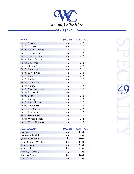

| <b>PURÉE</b>         |    | SOLD BY AVG. WGT. |
|----------------------|----|-------------------|
| Purée Apricot        | ea | 2.2               |
| Purée Banana         | ea | 2.2               |
| Purée Black Currant  | ea | 2.2               |
| Purée Blackberry     | ea | 2.2               |
| Purée Blood Orange   | ea | 2.2               |
| Purée Blood Peach    | ea | 2.2               |
| Purée Coconut        | ea | 2.2               |
| Purée Green Apple    | ea | 2.2               |
| Purée Kalamansi      | ea | 2.2               |
| Purée Kiwi Fruit     | ea | 2.2               |
| Purée Lime           | ea | 2.2               |
| Purée Litchee        | ea | 2.2               |
| Purée Mandarin       | ea | 2.2               |
| Purée Mango          | ea | 2.2               |
| Purée Morello Cherry | ea | 2.2               |
| Purée Passion Fruit  | ea | 2.2               |
| Purée Pear           | ea | 2.2               |
| Purée Pineapple      | ea | 2.2               |
| Purée Pink Guava     | ea | 2.2               |
| Purée Raspberry      | ea | 2.2               |
| Purée Red Currant    | ea | 2.2               |
| Purée Rhubarb        | ea | 2.2               |
| Purée Strawberry     | ea | 2.2               |
| Purée White Peach    | ea | 2.2               |
| Purée Wild Blueberry | ea | 2.2               |
|                      |    |                   |

| <b>RICE &amp; GRAIN</b> | <b>SOLD BY</b> | AVG. WGT. |
|-------------------------|----------------|-----------|
| Couscous                | ea             | 11.0      |
| Couscous Middle East    | ea.            | 8.0       |
| Quinoa Organic          | <b>lb</b>      | 10.0      |
| Rice Basmati White      | bg             | 11.0      |
| Rice Jasmine            | ea             | 25.0      |
| Rice Sushi              | bg             | 25.0      |
| Risotto Carnaroli       | ea             | 1.0       |
| Risotto Arborio         | bg             | 10.0      |
| Wild Rice               | ea             | 25.0      |

Special Company **49**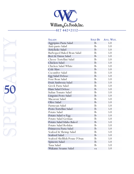

| <b>SALADS</b>                  | <b>SOLD BY</b> | Avg. WGT. |
|--------------------------------|----------------|-----------|
| Aggripino Pasta Salad          | lb             | 5.0       |
| Anti-pasto Salad               | lb             | 5.0       |
| Artichoke Salad                | lb             | 5.0       |
| Barbequed Baked Bean Salad     | $\mathbf{lb}$  | 5.0       |
| Beet & Onion Salad             | lb             | 5.0       |
| Cheese Tortellini Salad        | lb             | 5.0       |
| Chicken Salad                  | lb             | 5.0       |
| Chicken Salad White            | $\mathbf{lb}$  | 5.0       |
| Cole Slaw                      | lb             | 5.0       |
| Cucumber Salad                 | lb             | 5.0       |
| Egg Salad Deluxe               | lb             | 5.0       |
| Four Bean Salad                | lb             | 5.0       |
| Fruit Ambrosia Salad           | lb             | 5.0       |
| Greek Pasta Salad              | $\mathbf{lb}$  | 5.0       |
| Ham Salad Deluxe               | lb             | 5.0       |
| Italian Tomato Salad           | lb             | 5.0       |
| Linguini Pesto Salad           | lb             | 5.0       |
| Macaroni Salad                 | lb             | 5.0       |
| Olive Salad                    | lb             | 5.0       |
| Parmesan Salad                 | lb             | 5.0       |
| Pesto Tortellini Salad         | lb             | 5.0       |
| Potato Salad                   | lb             | 5.0       |
| Potato Salad w/Egg             | lb             | 5.0       |
| Potato Salad German            | lb             | 5.0       |
| Potato Salad Idaho Baked       | lb             | 5.0       |
| Potato Salad Redskin           | $_{\rm lb}$    | 5.0       |
| Primavera Pasta Salad          | lb             | 5.0       |
| Seafood & Shrimp Salad         | lb             | 5.0       |
| Seafood Salad                  | lb             | 5.0       |
| Seafood Shellfish/Penne l'Oran | lb             | 5.0       |
| Spinesto Salad                 | lb             | 5.0       |
| Tuna Salad                     | lb             | 5.0       |
| Wakame Sesame Salad            | ea             | 5.0       |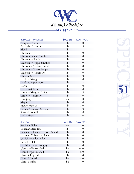

| <b>SPECIALTY SAUSAGES</b> | <b>SOLD BY</b> | AVG. WGT.         |
|---------------------------|----------------|-------------------|
| <b>Basquaise Spicy</b>    | lb             | 1.0               |
| Béarnaise & Garlic        | $_{\rm lb}$    | 1.5               |
| <b>Blood</b>              | lb             | 1.5               |
| Chicken                   | $_{\rm lb}$    | 1.0               |
| Chicken Fennel Smoked     | lb             | 1.0               |
| Chicken w/Apple           | lb             | 1.0               |
| Chicken w/Apple Smoked    | lb             | 1.0               |
| Chicken w/Italian Fennel  | $\mathbf{lb}$  | 1.0               |
| Chicken w/Roast Pepper    | lb             | 1.0               |
| Chicken w/Rosemary        | lb             | 1.0               |
| Chinese Style             | lb             | 1.0               |
| Duck w/Mango              | $_{\rm lb}$    | 1.0               |
| Duck w/Peppercorn         | lb             | 1.5               |
| Garlic                    | lb             | 1.0               |
| Garlic w/Cheese           | $\mathbf{lb}$  | 1.0               |
| Lamb w/Merguez Spicy      | lb             | 1.5               |
| Lamb w/Rosemary           | lb             | 1.0               |
| Landjaeger                | ea             | 1.0               |
| Maple                     | lb             | 1.0               |
| Mediterranean             | lb             | 5.0               |
| Pork w/Broccoli & Rabe    | lb             | 1.0               |
| Scampi Coquille           | lb             | 1.0               |
| Veal w/Sage               | lb             | 1.0               |
|                           |                |                   |
| <b>SEAFOOD</b>            |                | SOLD BY AVG, WGT. |

| <b>SEAFOOD</b>                 | <b>SOLD BY</b> | Avg. WGT. |
|--------------------------------|----------------|-----------|
| <b>Anchovy Fillet</b>          | ea             | 1.0       |
| Calamari Breaded               | $_{\rm lb}$    | 1.0       |
| Calamari Cleaned/Dressed Squid | <b>lb</b>      | 1.0       |
| Calamari Tubes Red Label       | $\mathbf{h}$   | 1.0       |
| Catfish Breaded Fillet         | $\mathbf{h}$   | 1.0       |
| Catfish Fillet                 | $\mathbf{h}$   | 1.0       |
| Catfish Orange Roughy          | $\mathbf{h}$   | 1.0       |
| Clam Shells Breaded            | bx             | 24.0      |
| Clam Strips Breaded            | bx             | 6.0       |
| Clams Chopped                  | $\mathbf{h}$   | 1.0       |
| Clams Minced                   | bx             | 48.0      |
| Clams Stuffed                  | bx             | 1.0       |

KL SPECIAL **51**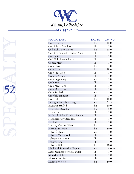

| SEAFOOD (CONT.)                  | <b>SOLD BY</b> | AVG. WGT.        |
|----------------------------------|----------------|------------------|
| Cod Beer Batter                  | bx             | 10.0             |
| Cod Fillets Boneless             | $\mathbf{lb}$  | 1.0              |
| Cod Fish Stick Pieces            | bx             | 10.0             |
| Cod Pre-cooked Breaded 4 oz      | $\mathbf{lb}$  | 1.0              |
| Cod Salt                         | $\mathbf{lb}$  | 1.0              |
| Cod Tails Breaded 4 oz           | $\mathbf{lb}$  | 1.0              |
| Conch Meat                       | lb             | 1.0              |
| Crab Cakes                       | bx             | 4.0              |
| Crab Claws                       | bx             | 18.0             |
| Crab Imitation                   | $\mathbf{lb}$  | 1.0              |
| Crab In A Can                    | lb             | 1.0              |
| Crab Legs King                   | ea             | 1.0              |
| Crab Meat                        | $\mathbf{lb}$  | 1.0              |
| Crab Meat Jona                   | $\mathbf{lb}$  | 1.0              |
| Crab Meat Lump Reg               | lb             | 1.0              |
| Crab Stuffed                     | ea             | 1.0              |
| Crayfish Tailmeat                | $\mathbf{lb}$  | 1.0              |
| Crawfish                         | bx             | 10.0             |
| Escargot French X-Large          | ea             | 72ct             |
| Escargot Stuffed                 | bx             | 10.0             |
| Fish Fillet Breaded              | bx             | 5.0              |
| Fishcakes                        | $\mathbf{lb}$  | 1.0              |
| Haddock Fillet Skinless/Boneless | lb             | 1.0              |
| Haddock Raw Breaded              | lb             | 1.0              |
| Halibut 8 oz                     | $\mathbf{lb}$  | 1.0              |
| Herring Cream Fillets            | bx             | 1.0              |
| Herring In Wine                  | bx             | 10.0             |
| Lobster Cakes                    | ea             | 1.0              |
| Lobster Meat Cooked              | lb             | 1.0              |
| Lobster Meat Raw                 | lb             | 1.0              |
| Lobster Roe                      | lb             | 1.0              |
| Lobster Tail                     | bx             | 40.0             |
| Mackerel Smoked w/Pepper         | ea             | $8.0 \text{ oz}$ |
| Mahi Skinless/Boneless Fillet    | $\mathbf{lb}$  | 1.0              |
| Monkfish Fillet                  | lb             | 1.0              |
| Mussels Smoked                   | lb             | 1.0              |
| Mussels Whole                    | bx             | 10.0             |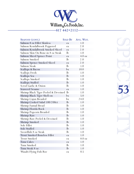

| SEAFOOD (CONT.)                      | <b>SOLD BY</b> | Avg. WGT.        |
|--------------------------------------|----------------|------------------|
| Salmon 8 oz Fillet Skinless          | ea             | 1.0              |
| Salmon Kendalbrook Peppered          | ea             | 2.0              |
| Salmon Kendalbrook Smoked Sliced     | ea             | 2.0              |
| Salmon Skin On Bone-in 8 oz Steak    | $_{\rm lb}$    | 1.0              |
| Salmon Sliced Spruce Point           | ea             | $4.0 \text{ oz}$ |
| Salmon Smoked                        | lb             | 2.0              |
| Salmon Spence Smoked Sliced          | ea             | 2.0              |
| Salmon Steak                         | lb             | 1.0              |
| Scallops & Bacon                     | bx             | 10.0             |
| Scallops Fresh                       | lb             | 1.0              |
| Scallops Sea                         | lb             | 1.0              |
| Scallops Smoked                      | lb             | 1.0              |
| Scallops Stuffed                     | lb             | 1.0              |
| Scrod Garlic & Onion                 | $\mathbf{lb}$  | 1.0              |
| Seaweed Sesame                       | ea             | 1.0              |
| Shrimp Black Tiger Peeled & Deveined | $\mathbf{lb}$  | 1.0              |
| Shrimp Black Tiger Shell-on          | bx             | 5.0              |
| Shrimp Cajun Breaded                 | bx             | 24.0             |
| Shrimp Cooked Salad 100/200ct        | lb             | 1.0              |
| Shrimp Fantail Bread                 | $_{\rm lb}$    | 1.0              |
| Shrimp Florida Rock                  | lb             | 1.0              |
| Shrimp Popcorn Breaded               | $_{\rm lb}$    | 1.0              |
| Shrimp Raw                           | lb             | 1.0              |
| Shrimp Raw Peeled & Deveined         | $_{\rm lb}$    | 1.0              |
| Shrimp Smoked                        | lb             | 1.0              |
| Sole Fillet                          | $_{\rm lb}$    | 1.0              |
| Sole Stuffed                         | $\mathbf{lb}$  | 1.0              |
| Swordfish 8 oz Steak                 | lb             | 1.0              |
| Trout Smoked Boneless Fillet         | ea             | 1.0              |
| <b>Trout Smoked</b>                  | ea             | $8.0 \text{ oz}$ |
| Tuna Cakes                           | ea             | 1.0              |
| Tuna Smoked                          | lb             | 1.0              |
| Tuna Steak 8 oz                      | lb             | 1.0              |
| Wasabi Flying Fish Roe               | ea             | 0.5              |

KL SPECIE **53**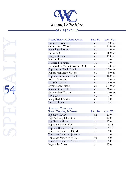

| $\overline{\mathcal{A}}$ |
|--------------------------|
|                          |
|                          |
|                          |
|                          |
|                          |
|                          |
|                          |
|                          |
|                          |
|                          |
|                          |

| SPICES, HERBS, & PEPPERCORNS    | <b>SOLD BY</b> | Avg. WGT.         |
|---------------------------------|----------------|-------------------|
| Coriander Whole                 | ea             | $8.0 \text{ oz}$  |
| Cumin Seed Whole                | ea             | $16.0 \text{ oz}$ |
| Fennel Seed Whole               | ea             | 12.0 oz           |
| Garlic Salt                     | ea             | $36.0 \text{ oz}$ |
| Ginger Ground                   | ea             | $15.0 \text{ oz}$ |
| Horseradish                     | ea             | 1.0               |
| Horseradish Sauce               | ea             | 1.0               |
| Horseradish Wasabi Powder Bulk  | ea             | $2.0 \text{ oz}$  |
| Peppercorn Black Dried          | ea             | $20.0 \text{ oz}$ |
| Peppercorn Brine Green          | ea             | $6.0 \text{ oz}$  |
| Peppercorn Mixed Dried          | ea             | $16.0 \text{ oz}$ |
| Saffron Spanish                 | ea             | $1.0 \text{ oz}$  |
| Sea Salt Coarse                 | ea             | $26.0 \text{ oz}$ |
| Sesame Seed Black               | ea             | $22.0 \text{ oz}$ |
| <b>Sesame Seed Hulled</b>       | ea             | $20.0 \text{ oz}$ |
| <b>Sesame Seed Toasted</b>      | ea             | $20.0 \text{ oz}$ |
| Soy Sauce                       | ea             | 1.0               |
| Spicy Red Tobikko               | ea             | 1.0               |
| Tamari Shoyu                    | ea             | 1.8               |
|                                 |                |                   |
| <b>SUNDRIED TOMATOES,</b>       |                |                   |
| ROAST PEPPERS, & OTHER          | <b>SOLD BY</b> | Avg. WGT.         |
| Eggplant Cutlet                 | bx             | 10.0              |
| Egg Roll Vegetable 3 oz         | bx             | 10.0              |
| Egg Roll w/Shrimp               | bx             | 10.0              |
| Peppers Roasted Red             | bx             | 5.75              |
| Peppers Roasted Yellow          | bx             | 5.75              |
| <b>Tomatoes Sundried Diced</b>  | bx             | 5.0               |
| Tomatoes Sundried Julienne      | bx             | 5.0               |
| Tomatoes Sundried Whole         | bx             | 5.0               |
| <b>Tomatoes Sundried Yellow</b> | bx             | 5.0               |
| Vegetables Mixed                | bx             | 10.0              |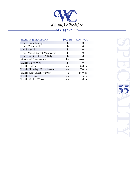

| <b>TRUFFLES &amp; MUSHROOMS</b> |               | SOLD BY AVG. WGT. |
|---------------------------------|---------------|-------------------|
| <b>Dried Black Trumpet</b>      | $\mathbf{lb}$ | 1.0               |
| Dried Chanterelle               | $\mathbf{h}$  | 1.0               |
| Dried Mixed                     | $\mathbf{h}$  | 1.0               |
| Dried Mixed Forest Mushroom     | $\mathbf{h}$  | 1.0               |
| Dried Porcini Grade A Italy     | $\mathbf{lb}$ | 1.0               |
| Marinated Mushrooms             | bx            | 20.0              |
| Truffle Black Whole             | $\mathbf{lb}$ | 1.0               |
| Truffle Butter                  | ea            | $8.0 \text{ oz}$  |
| Truffle Himalaya Flash Frozen   | ea            | $7.0 \text{ oz}$  |
| Truffle Juice Black Winter      | ea            | $14.0 \text{ oz}$ |
| <b>Truffle Peelings</b>         | ea            | 5.5 oz            |
| Truffle White Whole             | ea            | $1.0 \text{ oz}$  |

KL JSS 55 **55**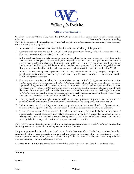

### **CREDIT AGREEMENT**

As an inducement to William & Co. Foods, Inc. ("WCO") to sell and deliver certain products and to extend credit in favor of ("Company"), but without binding WCO to do so, and without creating any contractual obligation to extend credit on a continuing basis upon any terms, Company hereby agrees that:

- 1. All invoices will be paid not later than 14 days from the date of delivery of the product;
- 2. Company shall pay amounts owed to WCO for all past, present and future goods and services provided to Company, its successor(s) or assign(s) when and as due.
- 3. In the event that there is a delinquency in payment, in addition to any fees or charges provided for in the invoice, a finance charge of 1.5% per month (APR 18%) will be imposed upon any unpaid balance due. Finance charges may be subject to change without notice form WCO, but in any event not more than the maximum interest rate allowable by law, will be imposed on the delinquent payment. This finance charge shall extend through any demand and/or suit for collection and until such time as full payment is tendered to WCO.
- 4. In the event of any delinquency in payment to WCO of any amount due to WCO by Company, Company will pay all losses, costs, attorneys' fees and expenses incurred by WCO as a result of such delinquency or exercise of WCO's rights as a creditor.
- 5. Company may not assign its rights, interests, or obligations under this Credit Agreement without the prior written approval of WCO. Company will notify WCO immediately of any change in ownership or operations. Upon such change in ownership or operations, any balance owed to WCO shall become immediately due and payable, at WCO's option. The Company acknowledges and accepts that the Company's failure to comply with the terms of this Paragraph might cause the Company to be liable for treble damages, which might be awarded to WCO in the event that the Company's failure to comply shall constitute an unfair or deceptive act or business practice undertaken or initiated by or on behalf of the Company.
- 6. Company hereby waives any right to require WCO to make any presentment, protest, demand, or notice of any kind including any notice of nonpayment of the indebtedness by Company or any other person.
- 7. Unless otherwise noted in writing on such invoice or purchase order, the terms of this Credit Agreement apply to credit extended pursuant to any and all invoices or purchase orders issued by WCO to Company.
- 8. This Credit Agreement shall be governed by and construed in accordance with the laws of the State of Massachusetts, without regard to conflict of laws principles. Company hereby agrees that any action hereon or relating hereto may be maintained in a court of competent jurisdiction located in Massachusetts, and consents to the jurisdiction of any such court for all purposes connected herewith.

WCO reserves the right not to extend credit to Company for any reason whatsoever and WCO may terminate this Credit Agreement at any time by providing written notice to Company.

Company represents that the making and performance by the Company of this Credit Agreement have been duly authorized by all necessary corporate action and will not violate any provision of law or constitute a breach or require consent under any other agreement. The Company further represents that the person executing and delivering the Credit Agreement is authorized to do so.

IN WITNESS WHEREOF, the parties have executed this Credit Agreement as of the dates set forth below.

Company

Signature Date

Name Witness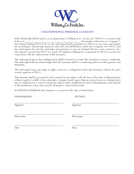

### **UNCONDITIONAL PERSONAL GUARANTY**

FOR VALUE RECEIVED and/or as an inducement to William & Co. Foods, Inc ("WCO") to extend credit in favor of (hereinafter referred to as "Company"), but without binding WCO to do so, the undersigned herby guarantees to WCO, its successors and assigns, the performance and prompt payment when due, all indebtedness which the Company owes WCO, and the undersigned does hereby undertake and guarantee to pay on demand all loses, costs, attorneys' fees and expenses incurred by WCO as a result of Company's delinquency in payment to WCO or incurred in connection with the enforcement of this Guaranty.

The undersigned agrees that nothing herein shall be deemed to render this Guaranty in anyway conditional. The undersigned hereby acknowledges that this Guaranty shall be a continuing and irrevocable guaranty and indemnity.

The undersigned may not assign its rights, interests, or obligations under this Guaranty without the prior written approval of WCO.

This Guaranty shall be governed by and construed in accordance with the laws of the State of Massachusetts, without regard to conflict of laws principles. Company hereby agrees that any action hereon or relating hereto may be maintained in a court of competent subject-matter jurisdiction located in Massachusetts, and consents to the jurisdiction of any such court for all purposes connected herewith.

IN WITNESS WHEREOF, this Guaranty is executed on the date set forth below:

UNDERSIGNED: WITNESS:

Signature Signature Signature Signature Signature Signature Signature Signature Signature Signature Signature Signature Signature Signature  $S_1$ 

Print name Print name

Date Date Date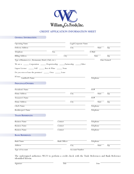

### **CREDIT APPLICATION INFORMATION SHEET**

### **General Information:**

| <b>Operating Name</b>                                                         |                     | Legal/Corporate Name  |           |              |                           |
|-------------------------------------------------------------------------------|---------------------|-----------------------|-----------|--------------|---------------------------|
| Delivery Address                                                              |                     | City                  |           | <b>State</b> | Zip                       |
| Telephone                                                                     | $\overline{Fax}$    |                       | E-Mail    |              |                           |
| <b>Billing Address</b>                                                        | City                |                       |           | State        | $\overline{\mathrm{Zip}}$ |
| Type of Business (i.e., Restaurant, Hotel, Club, etc.)                        |                     |                       |           |              | Date Formed               |
| We are a ______ Corporation ______ Proprietorship _____Partnership _____Other |                     |                       |           |              |                           |
| Liquor License: _______ Full _______ Beer & Wine ______ None                  |                     |                       |           |              |                           |
| Do you own or lease the premises? ______ Own _______ Lease                    |                     |                       |           |              |                           |
| If lease, $\frac{}{\mbox{Landlord's Name}}$                                   |                     |                       | Telephone |              |                           |
| PRINCIPALS/OWNERS:                                                            |                     |                       |           |              |                           |
| President's Name                                                              |                     |                       | SS#       |              |                           |
| Home Address                                                                  |                     | City                  |           | State        | Zip                       |
| Treasurer's Name                                                              |                     |                       | SS#       |              |                           |
| Home Address                                                                  |                     | City                  |           | State        | Zip                       |
| Chef's Name                                                                   |                     |                       | Telephone |              |                           |
| Bookkeeper's Name                                                             |                     |                       | Telephone |              |                           |
| <b>TRADE REFERENCES:</b>                                                      |                     |                       |           |              |                           |
| <b>Business Name</b>                                                          | Contact             |                       | Telephone |              |                           |
| <b>Business Name</b>                                                          | Contact             |                       | Telephone |              |                           |
| <b>Business Name</b>                                                          | Contact             |                       | Telephone |              |                           |
| <b>BANK REFERENCE:</b>                                                        |                     |                       |           |              |                           |
| <b>Bank Name</b>                                                              | <b>Bank Officer</b> |                       | Telephone |              |                           |
| <b>Address</b>                                                                |                     | City                  |           | <b>State</b> | Zip                       |
| <b>Type of Account</b>                                                        |                     | <b>Account Number</b> |           |              |                           |

The undersigned authorizes WCO to perform a credit check with the Trade References and Bank Reference identified herein.